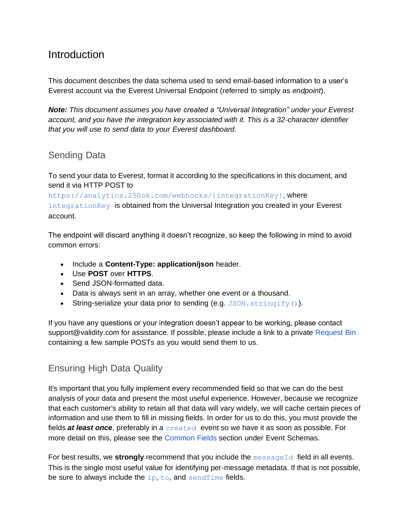# Introduction

This document describes the data schema used to send email-based information to a user's Everest account via the Everest Universal Endpoint (referred to simply as *endpoint*).

*Note: This document assumes you have created a "Universal Integration" under your Everest account, and you have the integration key associated with it. This is a 32-character identifier that you will use to send data to your Everest dashboard.* 

### Sending Data

To send your data to Everest, format it according to the specifications in this document, and send it via HTTP POST to

https://analytics.250ok.com/webhooks/{integrationKey}, where integrationKey is obtained from the Universal Integration you created in your Everest account.

The endpoint will discard anything it doesn't recognize, so keep the following in mind to avoid common errors:

- Include a **Content-Type: application/json** header.
- Use **POST** over **HTTPS**.
- Send JSON-formatted data.
- Data is always sent in an array, whether one event or a thousand.
- String-serialize your data prior to sending (e.g. JSON.stringify()).

If you have any questions or your integration doesn't appear to be working, please contact support@validity.com for assistance. If possible, please include a link to a private Request Bin containing a few sample POSTs as you would send them to us.

## Ensuring High Data Quality

It's important that you fully implement every recommended field so that we can do the best analysis of your data and present the most useful experience. However, because we recognize that each customer's ability to retain all that data will vary widely, we will cache certain pieces of information and use them to fill in missing fields. In order for us to do this, you must provide the fields *at least once*, preferably in a created event so we have it as soon as possible. For more detail on this, please see the Common Fields section under Event Schemas.

For best results, we **strongly** recommend that you include the messageId field in all events. This is the single most useful value for identifying per-message metadata. If that is not possible, be sure to always include the ip, to, and sendTime fields.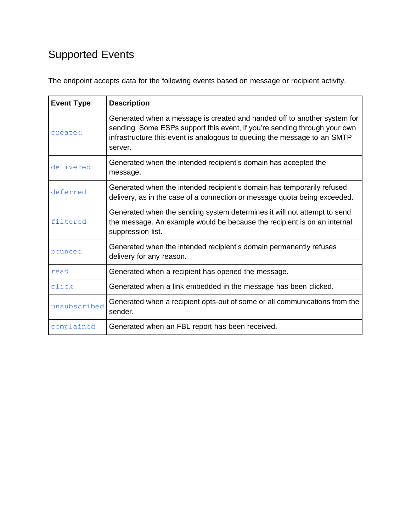# Supported Events

The endpoint accepts data for the following events based on message or recipient activity.

| <b>Event Type</b> | <b>Description</b>                                                                                                                                                                                                                           |  |  |  |  |
|-------------------|----------------------------------------------------------------------------------------------------------------------------------------------------------------------------------------------------------------------------------------------|--|--|--|--|
| created           | Generated when a message is created and handed off to another system for<br>sending. Some ESPs support this event, if you're sending through your own<br>infrastructure this event is analogous to queuing the message to an SMTP<br>server. |  |  |  |  |
| delivered         | Generated when the intended recipient's domain has accepted the<br>message.                                                                                                                                                                  |  |  |  |  |
| deferred          | Generated when the intended recipient's domain has temporarily refused<br>delivery, as in the case of a connection or message quota being exceeded.                                                                                          |  |  |  |  |
| filtered          | Generated when the sending system determines it will not attempt to send<br>the message. An example would be because the recipient is on an internal<br>suppression list.                                                                    |  |  |  |  |
| bounced           | Generated when the intended recipient's domain permanently refuses<br>delivery for any reason.                                                                                                                                               |  |  |  |  |
| read              | Generated when a recipient has opened the message.                                                                                                                                                                                           |  |  |  |  |
| click             | Generated when a link embedded in the message has been clicked.                                                                                                                                                                              |  |  |  |  |
| unsubscribed      | Generated when a recipient opts-out of some or all communications from the<br>sender.                                                                                                                                                        |  |  |  |  |
| complained        | Generated when an FBL report has been received.                                                                                                                                                                                              |  |  |  |  |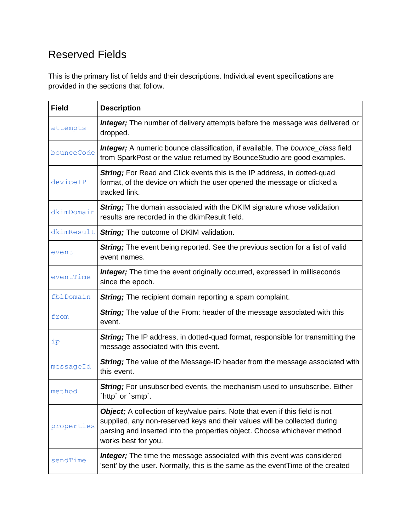# Reserved Fields

This is the primary list of fields and their descriptions. Individual event specifications are provided in the sections that follow.

| <b>Field</b> | <b>Description</b>                                                                                                                                                                                                                                                  |  |  |  |
|--------------|---------------------------------------------------------------------------------------------------------------------------------------------------------------------------------------------------------------------------------------------------------------------|--|--|--|
| attempts     | <b>Integer;</b> The number of delivery attempts before the message was delivered or<br>dropped.                                                                                                                                                                     |  |  |  |
| bounceCode   | <b>Integer;</b> A numeric bounce classification, if available. The bounce_class field<br>from SparkPost or the value returned by BounceStudio are good examples.                                                                                                    |  |  |  |
| deviceIP     | String; For Read and Click events this is the IP address, in dotted-quad<br>format, of the device on which the user opened the message or clicked a<br>tracked link.                                                                                                |  |  |  |
| dkimDomain   | <b>String;</b> The domain associated with the DKIM signature whose validation<br>results are recorded in the dkimResult field.                                                                                                                                      |  |  |  |
| dkimResult   | <b>String</b> ; The outcome of DKIM validation.                                                                                                                                                                                                                     |  |  |  |
| event        | String; The event being reported. See the previous section for a list of valid<br>event names.                                                                                                                                                                      |  |  |  |
| eventTime    | <b>Integer;</b> The time the event originally occurred, expressed in milliseconds<br>since the epoch.                                                                                                                                                               |  |  |  |
| fblDomain    | <b>String</b> ; The recipient domain reporting a spam complaint.                                                                                                                                                                                                    |  |  |  |
| from         | <b>String;</b> The value of the From: header of the message associated with this<br>event.                                                                                                                                                                          |  |  |  |
| ip           | String; The IP address, in dotted-quad format, responsible for transmitting the<br>message associated with this event.                                                                                                                                              |  |  |  |
| messageId    | <b>String;</b> The value of the Message-ID header from the message associated with<br>this event.                                                                                                                                                                   |  |  |  |
| method       | String; For unsubscribed events, the mechanism used to unsubscribe. Either<br>http' or 'smtp'.                                                                                                                                                                      |  |  |  |
| properties   | <b>Object;</b> A collection of key/value pairs. Note that even if this field is not<br>supplied, any non-reserved keys and their values will be collected during<br>parsing and inserted into the properties object. Choose whichever method<br>works best for you. |  |  |  |
| sendTime     | Integer; The time the message associated with this event was considered<br>'sent' by the user. Normally, this is the same as the eventTime of the created                                                                                                           |  |  |  |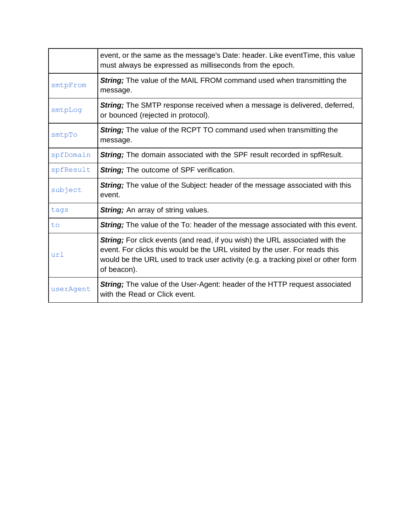|           | event, or the same as the message's Date: header. Like event Time, this value<br>must always be expressed as milliseconds from the epoch.                                                                                                                              |  |  |  |
|-----------|------------------------------------------------------------------------------------------------------------------------------------------------------------------------------------------------------------------------------------------------------------------------|--|--|--|
| smtpFrom  | <b>String;</b> The value of the MAIL FROM command used when transmitting the<br>message.                                                                                                                                                                               |  |  |  |
| smtpLog   | <b>String;</b> The SMTP response received when a message is delivered, deferred,<br>or bounced (rejected in protocol).                                                                                                                                                 |  |  |  |
| smtpTo    | String; The value of the RCPT TO command used when transmitting the<br>message.                                                                                                                                                                                        |  |  |  |
| spfDomain | <b>String;</b> The domain associated with the SPF result recorded in spfResult.                                                                                                                                                                                        |  |  |  |
| spfResult | String; The outcome of SPF verification.                                                                                                                                                                                                                               |  |  |  |
| subject   | <b>String</b> ; The value of the Subject: header of the message associated with this<br>event.                                                                                                                                                                         |  |  |  |
| tags      | <b>String</b> ; An array of string values.                                                                                                                                                                                                                             |  |  |  |
| to        | <b>String;</b> The value of the To: header of the message associated with this event.                                                                                                                                                                                  |  |  |  |
| url       | <b>String;</b> For click events (and read, if you wish) the URL associated with the<br>event. For clicks this would be the URL visited by the user. For reads this<br>would be the URL used to track user activity (e.g. a tracking pixel or other form<br>of beacon). |  |  |  |
| userAgent | <b>String;</b> The value of the User-Agent: header of the HTTP request associated<br>with the Read or Click event.                                                                                                                                                     |  |  |  |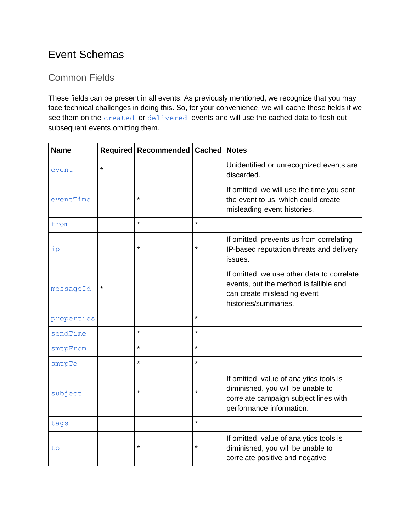# Event Schemas

# Common Fields

These fields can be present in all events. As previously mentioned, we recognize that you may face technical challenges in doing this. So, for your convenience, we will cache these fields if we see them on the created or delivered events and will use the cached data to flesh out subsequent events omitting them.

| <b>Name</b> |         | Required   Recommended   Cached |         | <b>Notes</b>                                                                                                                                      |
|-------------|---------|---------------------------------|---------|---------------------------------------------------------------------------------------------------------------------------------------------------|
| event       | $\star$ |                                 |         | Unidentified or unrecognized events are<br>discarded.                                                                                             |
| eventTime   |         | $\star$                         |         | If omitted, we will use the time you sent<br>the event to us, which could create<br>misleading event histories.                                   |
| from        |         | $\star$                         | $\star$ |                                                                                                                                                   |
| ip          |         | $\star$                         | $\star$ | If omitted, prevents us from correlating<br>IP-based reputation threats and delivery<br>issues.                                                   |
| messageId   | $\star$ |                                 |         | If omitted, we use other data to correlate<br>events, but the method is fallible and<br>can create misleading event<br>histories/summaries.       |
| properties  |         |                                 | $\star$ |                                                                                                                                                   |
| sendTime    |         | $\star$                         | $\star$ |                                                                                                                                                   |
| smtpFrom    |         | $\star$                         | $\star$ |                                                                                                                                                   |
| smtpTo      |         | $\star$                         | $\star$ |                                                                                                                                                   |
| subject     |         | $\star$                         | $\star$ | If omitted, value of analytics tools is<br>diminished, you will be unable to<br>correlate campaign subject lines with<br>performance information. |
| tags        |         |                                 | $\star$ |                                                                                                                                                   |
| to          |         | $\star$                         | $\star$ | If omitted, value of analytics tools is<br>diminished, you will be unable to<br>correlate positive and negative                                   |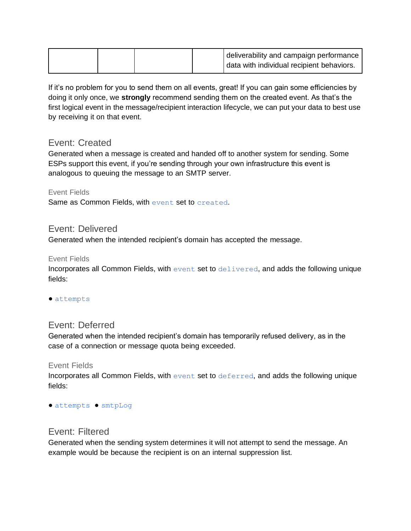|  |  | deliverability and campaign performance<br>data with individual recipient behaviors. |
|--|--|--------------------------------------------------------------------------------------|
|--|--|--------------------------------------------------------------------------------------|

If it's no problem for you to send them on all events, great! If you can gain some efficiencies by doing it only once, we **strongly** recommend sending them on the created event. As that's the first logical event in the message/recipient interaction lifecycle, we can put your data to best use by receiving it on that event.

### Event: Created

Generated when a message is created and handed off to another system for sending. Some ESPs support this event, if you're sending through your own infrastructure this event is analogous to queuing the message to an SMTP server.

Event Fields

Same as Common Fields, with event set to created.

#### Event: Delivered

Generated when the intended recipient's domain has accepted the message.

#### Event Fields

Incorporates all Common Fields, with event set to delivered, and adds the following unique fields:

● attempts

### Event: Deferred

Generated when the intended recipient's domain has temporarily refused delivery, as in the case of a connection or message quota being exceeded.

#### Event Fields

Incorporates all Common Fields, with event set to deferred, and adds the following unique fields:

● attempts ● smtpLog

### Event: Filtered

Generated when the sending system determines it will not attempt to send the message. An example would be because the recipient is on an internal suppression list.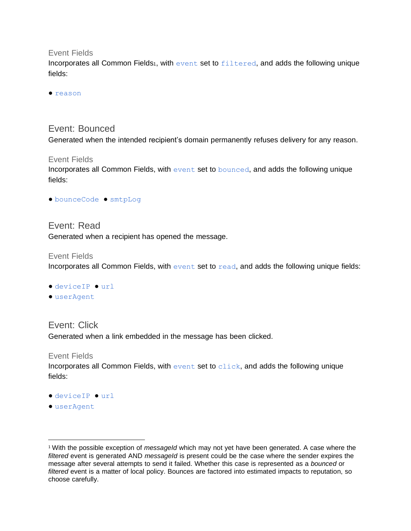Event Fields

Incorporates all Common Fields<sub>1</sub>, with event set to filtered, and adds the following unique fields:

● reason

#### Event: Bounced

Generated when the intended recipient's domain permanently refuses delivery for any reason.

#### Event Fields

Incorporates all Common Fields, with event set to bounced, and adds the following unique fields:

● bounceCode ● smtpLog

### Event: Read Generated when a recipient has opened the message.

#### Event Fields

Incorporates all Common Fields, with event set to read, and adds the following unique fields:

- deviceIP url
- userAgent

Event: Click Generated when a link embedded in the message has been clicked.

#### Event Fields

Incorporates all Common Fields, with event set to click, and adds the following unique fields:

- deviceIP url
- userAgent

<sup>1</sup> With the possible exception of *messageId* which may not yet have been generated. A case where the *filtered* event is generated AND *messageId* is present could be the case where the sender expires the message after several attempts to send it failed. Whether this case is represented as a *bounced* or *filtered* event is a matter of local policy. Bounces are factored into estimated impacts to reputation, so choose carefully.